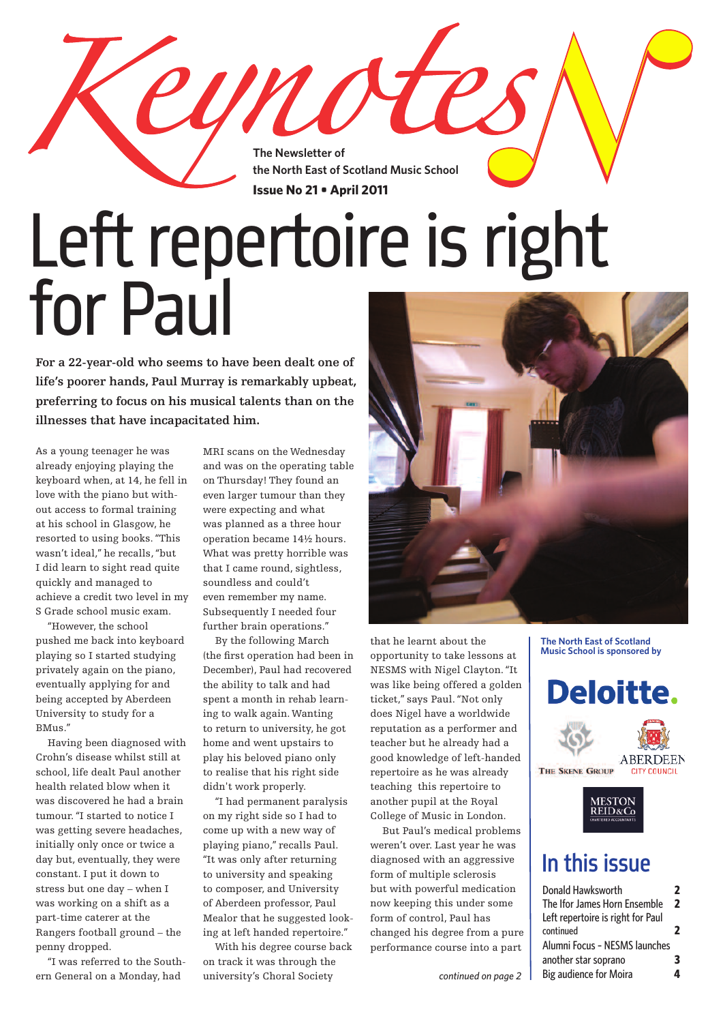**The Newsletter of the North East of Scotland Music School Issue No 21 • April 2011**

# Left repertoire is right for Paul

UNO

**For <sup>a</sup> 22-year-old who seems to have been dealt one of life's poorer hands, Paul Murray is remarkably upbeat, preferring to focus on his musical talents than on the illnesses that have incapacitated him.**

As a young teenager he was already enjoying playing the keyboard when, at 14, he fell in love with the piano but without access to formal training at his school in Glasgow, he resorted to using books."This wasn't ideal," he recalls,"but I did learn to sight read quite quickly and managed to achieve a credit two level in my S Grade school music exam.

 "However, the school pushed me back into keyboard playing so I started studying privately again on the piano, eventually applying for and being accepted by Aberdeen University to study for a BMus."

 Having been diagnosed with Crohn's disease whilst still at school, life dealt Paul another health related blow when it was discovered he had a brain tumour."I started to notice I was getting severe headaches, initially only once or twice a day but, eventually, they were constant. I put it down to stress but one day – when I was working on a shift as a part-time caterer at the Rangers football ground – the penny dropped.

 "I was referred to the Southern General on a Monday, had

MRI scans on the Wednesday and was on the operating table on Thursday! They found an even larger tumour than they were expecting and what was planned as a three hour operation became 14½ hours. What was pretty horrible was that I came round, sightless, soundless and could't even remember my name. Subsequently I needed four further brain operations."

 By the following March (the first operation had been in December), Paul had recovered the ability to talk and had spent a month in rehab learning to walk again. Wanting to return to university, he got home and went upstairs to play his beloved piano only to realise that his right side didn't work properly.

 "I had permanent paralysis on my right side so I had to come up with a new way of playing piano," recalls Paul. "It was only after returning to university and speaking to composer, and University of Aberdeen professor, Paul Mealor that he suggested looking at left handed repertoire."

 With his degree course back on track it was through the university's Choral Society



that he learnt about the opportunity to take lessons at NESMS with Nigel Clayton."It was like being offered a golden ticket," says Paul."Not only does Nigel have a worldwide reputation as a performer and teacher but he already had a good knowledge of left-handed repertoire as he was already teaching this repertoire to another pupil at the Royal College of Music in London.

 But Paul's medical problems weren't over. Last year he was diagnosed with an aggressive form of multiple sclerosis but with powerful medication now keeping this under some form of control, Paul has changed his degree from a pure performance course into a part

**The North East of Scotland Music School is sponsored by**



### In this issue

| Donald Hawksworth                 | 7 |
|-----------------------------------|---|
| The Ifor James Horn Ensemble      | 2 |
| Left repertoire is right for Paul |   |
| continued                         | 7 |
| Alumni Focus - NESMS launches     |   |
| another star soprano              | 3 |
| Big audience for Moira            |   |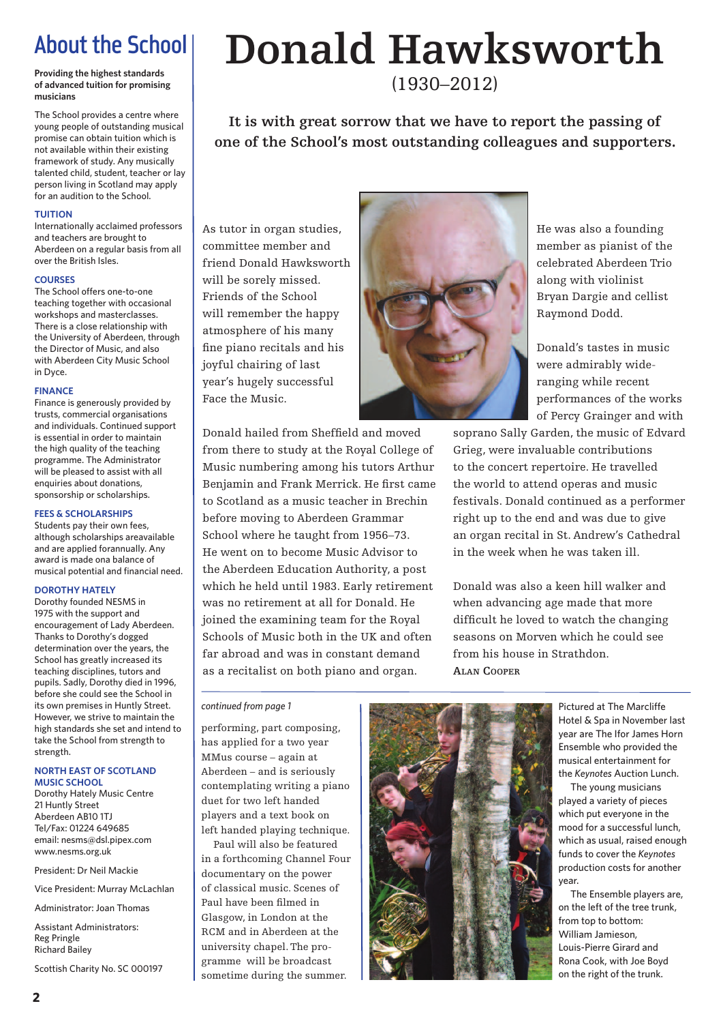### About the School

**Providing the highest standards of advanced tuition for promising musicians**

The School provides a centre where young people of outstanding musical promise can obtain tuition which is not available within their existing framework of study. Any musically talented child, student, teacher or lay person living in Scotland may apply for an audition to the School.

#### **TUITION**

Internationally acclaimed professors and teachers are brought to Aberdeen on a regular basis from all over the British Isles.

### **COURSES**

The School offers one-to-one teaching together with occasional workshops and masterclasses. There is a close relationship with the University of Aberdeen, through the Director of Music, and also with Aberdeen City Music School in Dyce.

#### **FINANCE**

Finance is generously provided by trusts, commercial organisations and individuals. Continued support is essential in order to maintain the high quality of the teaching programme. The Administrator will be pleased to assist with all enquiries about donations, sponsorship or scholarships.

### **FEES & SCHOLARSHIPS**

Students pay their own fees, although scholarships areavailable and are applied forannually. Any award is made ona balance of musical potential and financial need.

### **DOROTHY HATELY**

Dorothy founded NESMS in 1975 with the support and encouragement of Lady Aberdeen. Thanks to Dorothy's dogged determination over the years, the School has greatly increased its teaching disciplines, tutors and pupils. Sadly, Dorothy died in 1996, before she could see the School in its own premises in Huntly Street. However, we strive to maintain the high standards she set and intend to take the School from strength to strength.

#### **NORTH EAST OF SCOTLAND MUSIC SCHOOL**

Dorothy Hately Music Centre 21 Huntly Street Aberdeen AB10 1TJ Tel/Fax: 01224 649685 email: nesms@dsl.pipex.com www.nesms.org.uk

President: Dr Neil Mackie

Vice President: Murray McLachlan

Administrator: Joan Thomas

Assistant Administrators: Reg Pringle Richard Bailey

Scottish Charity No. SC 000197

## **Donald Hawksworth**

(1930–2012)

**It is with great sorrow that we have to report the passing of one of the School's most outstanding colleagues and supporters.**

As tutor in organ studies, committee member and friend Donald Hawksworth will be sorely missed. Friends of the School will remember the happy atmosphere of his many fine piano recitals and his joyful chairing of last year's hugely successful Face the Music.

Donald hailed from Sheffield and moved from there to study at the Royal College of Music numbering among his tutors Arthur Benjamin and Frank Merrick. He first came to Scotland as a music teacher in Brechin before moving to Aberdeen Grammar School where he taught from 1956–73. He went on to become Music Advisor to the Aberdeen Education Authority, a post which he held until 1983. Early retirement was no retirement at all for Donald. He joined the examining team for the Royal Schools of Music both in the UK and often far abroad and was in constant demand as a recitalist on both piano and organ.



He was also a founding member as pianist of the celebrated Aberdeen Trio along with violinist Bryan Dargie and cellist Raymond Dodd.

Donald's tastes in music were admirably wideranging while recent performances of the works of Percy Grainger and with

soprano Sally Garden, the music of Edvard Grieg, were invaluable contributions to the concert repertoire. He travelled the world to attend operas and music festivals. Donald continued as a performer right up to the end and was due to give an organ recital in St. Andrew's Cathedral in the week when he was taken ill.

Donald was also a keen hill walker and when advancing age made that more difficult he loved to watch the changing seasons on Morven which he could see from his house in Strathdon. **ALAN COOPER**

#### *continued from page 1*

performing, part composing, has applied for a two year MMus course – again at Aberdeen – and is seriously contemplating writing a piano duet for two left handed players and a text book on left handed playing technique.

 Paul will also be featured in a forthcoming Channel Four documentary on the power of classical music. Scenes of Paul have been filmed in Glasgow, in London at the RCM and in Aberdeen at the university chapel.The programme will be broadcast sometime during the summer.



Pictured at The Marcliffe Hotel & Spa in November last year are The Ifor James Horn Ensemble who provided the musical entertainment for the *Keynotes* Auction Lunch.

 The young musicians played a variety of pieces which put everyone in the mood for a successful lunch, which as usual, raised enough funds to cover the *Keynotes* production costs for another year.

 The Ensemble players are, on the left of the tree trunk, from top to bottom: William Jamieson, Louis-Pierre Girard and Rona Cook, with Joe Boyd on the right of the trunk.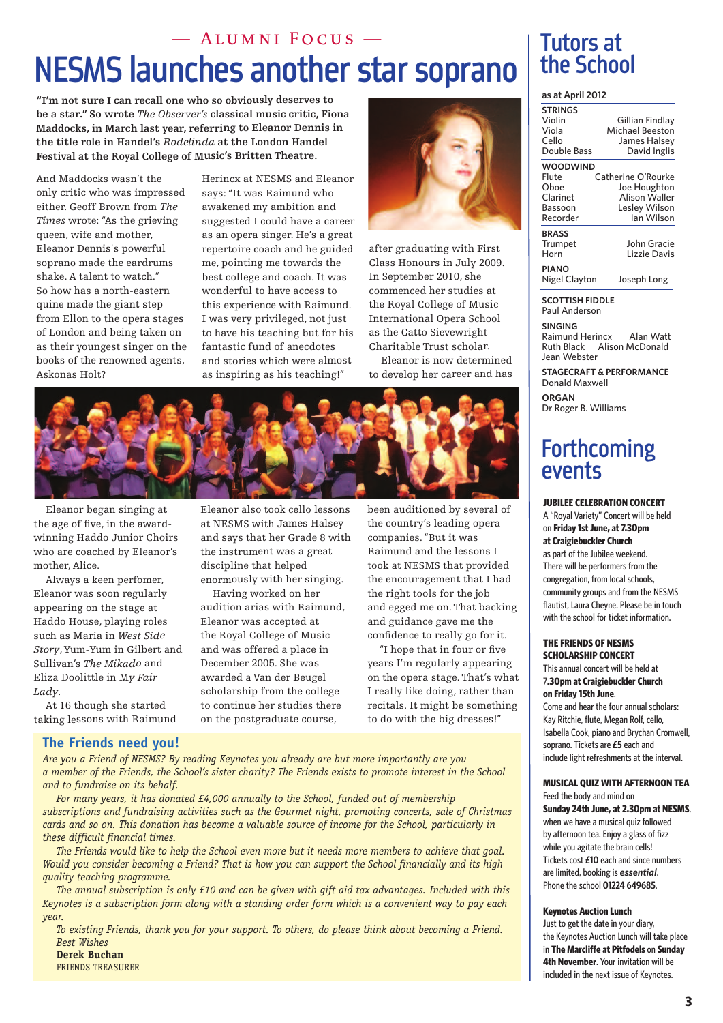### NESMS launches another star soprano — Alumni Focus —

**"I'm not sure <sup>I</sup> can recall one who so obviously deserves to be <sup>a</sup> star."So wrote** *The Observer's* **classical music critic, Fiona Maddocks, in March last year, referring to Eleanor Dennis in the title role in Handel's** *Rodelinda* **at the London Handel Festival at the Royal College of Music's Britten Theatre.**

And Maddocks wasn't the only critic who was impressed either. Geoff Brown from *The Times* wrote: "As the grieving queen, wife and mother, Eleanor Dennis's powerful soprano made the eardrums shake. A talent to watch." So how has <sup>a</sup> north-eastern quine made the giant step from Ellon to the opera stages of London and being taken on as their younges<sup>t</sup> singer on the books of the renowned agents, Askonas Holt?

Herincx at NESMS and Eleanor says: "It was Raimund who awakened my ambition and suggested <sup>I</sup> could have <sup>a</sup> career as an opera singer. He's <sup>a</sup> grea<sup>t</sup> repertoire coach and he guided me, pointing me towards the best college and coach. It was wonderful to have access to this experience with Raimund. I was very privileged, not just to have his teaching but for his fantastic fund of anecdotes and stories which were almost as inspiring as his teaching!"



after graduating with First Class Honours in July 2009. In September 2010, she commenced her studies at the Royal College of Music International Opera School as the Catto Sievewright Charitable Trust scholar. Eleanor is now determined

to develop her career and has



Eleanor began singing at the age of five, in the awardwinning Haddo Junior Choirs who are coached by Eleanor's mother, Alice.

Always <sup>a</sup> keen perfomer, Eleanor was soon regularly appearing on the stage at Haddo House, playing roles such as Maria in *West Side Story*,Yum-Yum in Gilbert and Sullivan's *The Mikado* and Eliza Doolittle in <sup>M</sup>*y Fair Lady*.

At 16 though she started taking lessons with Raimund Eleanor also took cello lessons at NESMS with James Halsey and says that her Grade 8 with the instrument was <sup>a</sup> grea<sup>t</sup> discipline that helped enormously with her singing.

Having worked on her audition arias with Raimund, Eleanor was accepted at the Royal College of Music and was offered <sup>a</sup> place in December 2005. She was awarded <sup>a</sup> Van der Beugel scholarship from the college to continue her studies there on the postgraduate course,

been auditioned by several of the country's leading opera companies."But it was Raimund and the lessons I took at NESMS that provided the encouragemen<sup>t</sup> that <sup>I</sup> had the right tools for the job and egged me on.That backing and guidance gave me the confidence to really go for it.

"I hope that in four or five years <sup>I</sup>'m regularly appearing on the opera stage.That's what I really like doing, rather than recitals. It might be something to do with the big dresses!"

### **The Friends need you!**

*Are you a Friend of NESMS? By reading Keynotes you already are but more importantly are you* a member of the Friends, the School's sister charity? The Friends exists to promote interest in the School *and to fundraise on its behalf.*

*For many years, it has donated £4,000 annually to the School, funded out of membership subscriptions and fundraising activities such as the Gourmet night, promoting concerts, sale of Christmas* cards and so on. This donation has become a valuable source of income for the School, particularly in *these difficult financial times.*

The Friends would like to help the School even more but it needs more members to achieve that goal. Would you consider becoming a Friend? That is how you can support the School financially and its high *quality teaching programme.*

The annual subscription is only £10 and can be given with gift aid tax advantages. Included with this Keynotes is a subscription form along with a standing order form which is a convenient way to pay each *year.*

*To existing Friends, thank you for your support. To others, do please think about becoming a Friend. Best Wishes*

**Derek Buchan** FRIENDS TREASURER

### Tutors at the School

### **as at April 2012**

| <b>STRINGS</b>  |                    |  |
|-----------------|--------------------|--|
| Violin          | Gillian Findlay    |  |
| Viola           | Michael Beeston    |  |
| Cello           | James Halsey       |  |
| Double Bass     | David Inglis       |  |
| <b>WOODWIND</b> |                    |  |
| Flute           | Catherine O'Rourke |  |
| Oboe            | Joe Houghton       |  |
| Clarinet        | Alison Waller      |  |
| Bassoon         | Lesley Wilson      |  |
| Recorder        | lan Wilson         |  |
| <b>BRASS</b>    |                    |  |
| Trumpet         | John Gracie        |  |
| Horn            | Lizzie Davis       |  |
| <b>PIANO</b>    |                    |  |
| Nigel Clayton   | Joseph Long        |  |
|                 |                    |  |

**SCOTTISH FIDDLE** Paul Anderson

**SINGING** Raimund Herincx Alan Watt Ruth Black Alison McDonald Jean Webster

**STAGECRAFT & PERFORMANCE** Donald Maxwell

**ORGAN** Dr Roger B. Williams

## Forthcoming events

### **JUBILEE CELEBRATION CONCERT**

A "Royal Variety" Concert will be held on **Friday 1st June, at 7.30pm at Craigiebuckler Church** as part of the Jubilee weekend. There will be performers from the congregation, from local schools, community groups and from the NESMS flautist, Laura Cheyne. Please be in touch with the school for ticket information.

### **THE FRIENDS OF NESMS SCHOLARSHIP CONCERT**

This annual concert will be held at 7**.30pm at Craigiebuckler Church on Friday 15th June**. Come and hear the four annual scholars:

Kay Ritchie, flute, Megan Rolf, cello, Isabella Cook, piano and Brychan Cromwell, soprano. Tickets are **£5** each and include light refreshments at the interval.

### **MUSICAL QUIZ WITH AFTERNOON TEA**

Feed the body and mind on **Sunday 24th June, at 2.30pm at NESMS**, when we have a musical quiz followed by afternoon tea. Enjoy a glass of fizz while you agitate the brain cells! Tickets cost **£10** each and since numbers are limited, booking is *essential*. Phonetheschool **01224 649685**.

### **Keynotes Auction Lunch**

Just to get the date in your diary, the Keynotes Auction Lunch will take place in **The Marcliffe at Pitfodels** on **Sunday 4th November**. Your invitation will be included in the next issue of Keynotes.